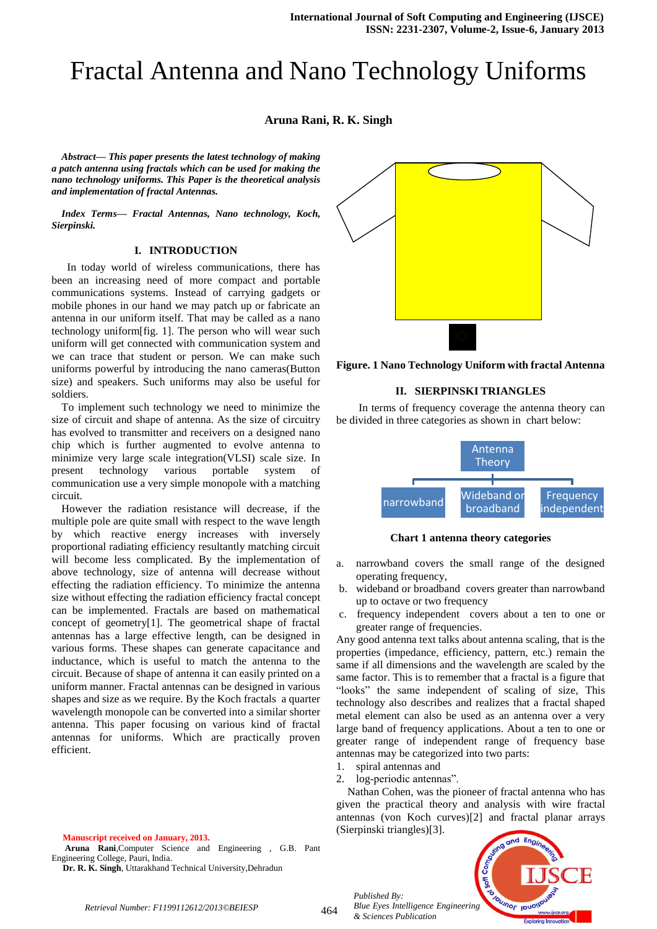# Fractal Antenna and Nano Technology Uniforms

**Aruna Rani, R. K. Singh**

*Abstract— This paper presents the latest technology of making a patch antenna using fractals which can be used for making the nano technology uniforms. This Paper is the theoretical analysis and implementation of fractal Antennas.*

*Index Terms— Fractal Antennas, Nano technology, Koch, Sierpinski.* 

### **I. INTRODUCTION**

 In today world of wireless communications, there has been an increasing need of more compact and portable communications systems. Instead of carrying gadgets or mobile phones in our hand we may patch up or fabricate an antenna in our uniform itself. That may be called as a nano technology uniform[fig. 1]. The person who will wear such uniform will get connected with communication system and we can trace that student or person. We can make such uniforms powerful by introducing the nano cameras(Button size) and speakers. Such uniforms may also be useful for soldiers.

To implement such technology we need to minimize the size of circuit and shape of antenna. As the size of circuitry has evolved to transmitter and receivers on a designed nano chip which is further augmented to evolve antenna to minimize very large scale integration(VLSI) scale size. In present technology various portable system of communication use a very simple monopole with a matching circuit.

However the radiation resistance will decrease, if the multiple pole are quite small with respect to the wave length by which reactive energy increases with inversely proportional radiating efficiency resultantly matching circuit will become less complicated. By the implementation of above technology, size of antenna will decrease without effecting the radiation efficiency. To minimize the antenna size without effecting the radiation efficiency fractal concept can be implemented. Fractals are based on mathematical concept of geometry[1]. The geometrical shape of fractal antennas has a large effective length, can be designed in various forms. These shapes can generate capacitance and inductance, which is useful to match the antenna to the circuit. Because of shape of antenna it can easily printed on a uniform manner. Fractal antennas can be designed in various shapes and size as we require. By the Koch fractals a quarter wavelength monopole can be converted into a similar shorter antenna. This paper focusing on various kind of fractal antennas for uniforms. Which are practically proven efficient.

**Manuscript received on January, 2013.**

**Aruna Rani**,Computer Science and Engineering , G.B. Pant Engineering College, Pauri, India.

**Dr. R. K. Singh**, Uttarakhand Technical University,Dehradun



**Figure. 1 Nano Technology Uniform with fractal Antenna**

#### **II. SIERPINSKI TRIANGLES**

In terms of frequency coverage the antenna theory can be divided in three categories as shown in chart below:



**Chart 1 antenna theory categories**

- a. narrowband covers the small range of the designed operating frequency,
- b. wideband or broadband covers greater than narrowband up to octave or two frequency
- c. frequency independent covers about a ten to one or greater range of frequencies.

Any good antenna text talks about antenna scaling, that is the properties (impedance, efficiency, pattern, etc.) remain the same if all dimensions and the wavelength are scaled by the same factor. This is to remember that a fractal is a figure that "looks" the same independent of scaling of size, This technology also describes and realizes that a fractal shaped metal element can also be used as an antenna over a very large band of frequency applications. About a ten to one or greater range of independent range of frequency base antennas may be categorized into two parts:

1. spiral antennas and

*Published By:*

*& Sciences Publication* 

2. log-periodic antennas".

Nathan Cohen, was the pioneer of fractal antenna who has given the practical theory and analysis with wire fractal antennas (von Koch curves)[2] and fractal planar arrays (Sierpinski triangles)[3].



464 *Retrieval Number: F1199112612/2013©BEIESP*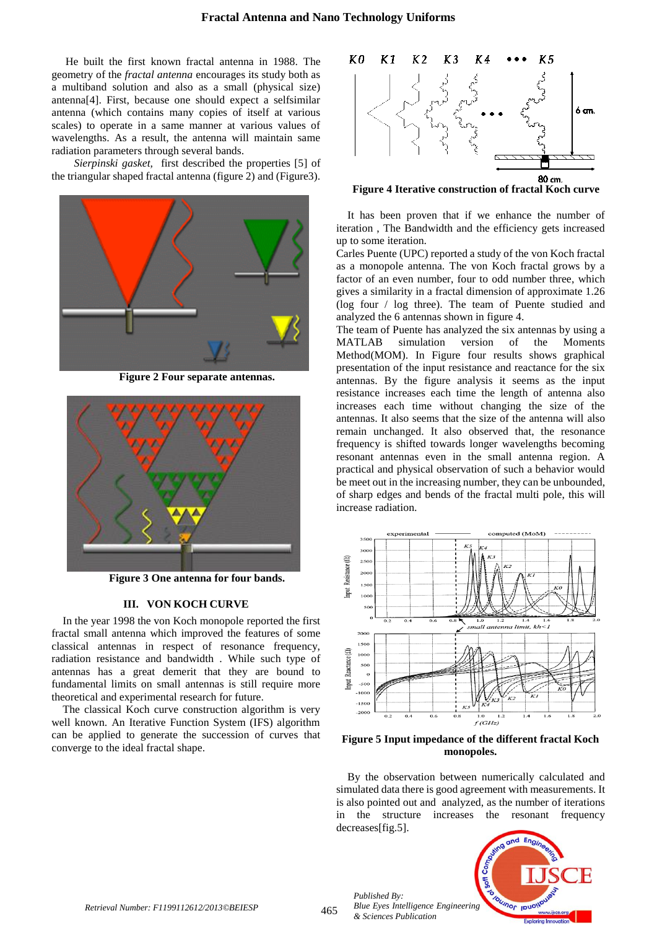He built the first known fractal antenna in 1988. The geometry of the *fractal antenna* encourages its study both as a multiband solution and also as a small (physical size) antenna[4]. First, because one should expect a selfsimilar antenna (which contains many copies of itself at various scales) to operate in a same manner at various values of wavelengths. As a result, the antenna will maintain same radiation parameters through several bands.

*Sierpinski gasket,* first described the properties [5] of the triangular shaped fractal antenna (figure 2) and (Figure3).



**Figure 2 Four separate antennas.**



**Figure 3 One antenna for four bands.**

#### **III. VON KOCH CURVE**

In the year 1998 the von Koch monopole reported the first fractal small antenna which improved the features of some classical antennas in respect of resonance frequency, radiation resistance and bandwidth . While such type of antennas has a great demerit that they are bound to fundamental limits on small antennas is still require more theoretical and experimental research for future.

The classical Koch curve construction algorithm is very well known. An Iterative Function System (IFS) algorithm can be applied to generate the succession of curves that converge to the ideal fractal shape.



**Figure 4 Iterative construction of fractal Koch curve**

It has been proven that if we enhance the number of iteration , The Bandwidth and the efficiency gets increased up to some iteration.

Carles Puente (UPC) reported a study of the von Koch fractal as a monopole antenna. The von Koch fractal grows by a factor of an even number, four to odd number three, which gives a similarity in a fractal dimension of approximate 1.26 (log four / log three). The team of Puente studied and analyzed the 6 antennas shown in figure 4.

The team of Puente has analyzed the six antennas by using a MATLAB simulation version of the Moments Method(MOM). In Figure four results shows graphical presentation of the input resistance and reactance for the six antennas. By the figure analysis it seems as the input resistance increases each time the length of antenna also increases each time without changing the size of the antennas. It also seems that the size of the antenna will also remain unchanged. It also observed that, the resonance frequency is shifted towards longer wavelengths becoming resonant antennas even in the small antenna region. A practical and physical observation of such a behavior would be meet out in the increasing number, they can be unbounded, of sharp edges and bends of the fractal multi pole, this will increase radiation.



**Figure 5 Input impedance of the different fractal Koch monopoles.**

By the observation between numerically calculated and simulated data there is good agreement with measurements. It is also pointed out and analyzed, as the number of iterations in the structure increases the resonant frequency decreases[fig.5].



*Published By:*

*& Sciences Publication*